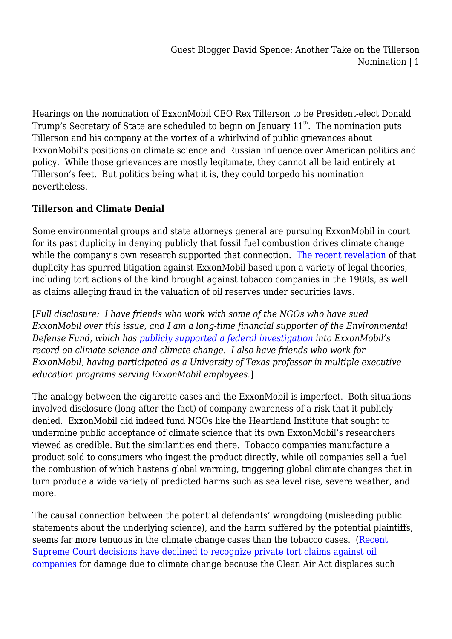Hearings on the nomination of ExxonMobil CEO Rex Tillerson to be President-elect Donald Trump's Secretary of State are scheduled to begin on January  $11<sup>th</sup>$ . The nomination puts Tillerson and his company at the vortex of a whirlwind of public grievances about ExxonMobil's positions on climate science and Russian influence over American politics and policy. While those grievances are mostly legitimate, they cannot all be laid entirely at Tillerson's feet. But politics being what it is, they could torpedo his nomination nevertheless.

## **Tillerson and Climate Denial**

Some environmental groups and state attorneys general are pursuing ExxonMobil in court for its past duplicity in denying publicly that fossil fuel combustion drives climate change while the company's own research supported that connection. [The recent revelation](http://www.latimes.com/topic/business/exxon-mobil-corporation-ORCRP005510-topic.html) of that duplicity has spurred litigation against ExxonMobil based upon a variety of legal theories, including tort actions of the kind brought against tobacco companies in the 1980s, as well as claims alleging fraud in the valuation of oil reserves under securities laws.

[*Full disclosure: I have friends who work with some of the NGOs who have sued ExxonMobil over this issue, and I am a long-time financial supporter of the Environmental Defense Fund, which has [publicly supported a federal investigation](https://350.org/the-department-of-justice-must-investigate-exxonmobil/) into ExxonMobil's record on climate science and climate change. I also have friends who work for ExxonMobil, having participated as a University of Texas professor in multiple executive education programs serving ExxonMobil employees*.]

The analogy between the cigarette cases and the ExxonMobil is imperfect. Both situations involved disclosure (long after the fact) of company awareness of a risk that it publicly denied. ExxonMobil did indeed fund NGOs like the Heartland Institute that sought to undermine public acceptance of climate science that its own ExxonMobil's researchers viewed as credible. But the similarities end there. Tobacco companies manufacture a product sold to consumers who ingest the product directly, while oil companies sell a fuel the combustion of which hastens global warming, triggering global climate changes that in turn produce a wide variety of predicted harms such as sea level rise, severe weather, and more.

The causal connection between the potential defendants' wrongdoing (misleading public statements about the underlying science), and the harm suffered by the potential plaintiffs, seems far more tenuous in the climate change cases than the tobacco cases. ([Recent](http://news.trust.org/item/20130520140931-e3jsz/?source%20=%20hpbreaking) [Supreme Court decisions have declined to recognize private tort claims against oil](http://news.trust.org/item/20130520140931-e3jsz/?source%20=%20hpbreaking) [companies](http://news.trust.org/item/20130520140931-e3jsz/?source%20=%20hpbreaking) for damage due to climate change because the Clean Air Act displaces such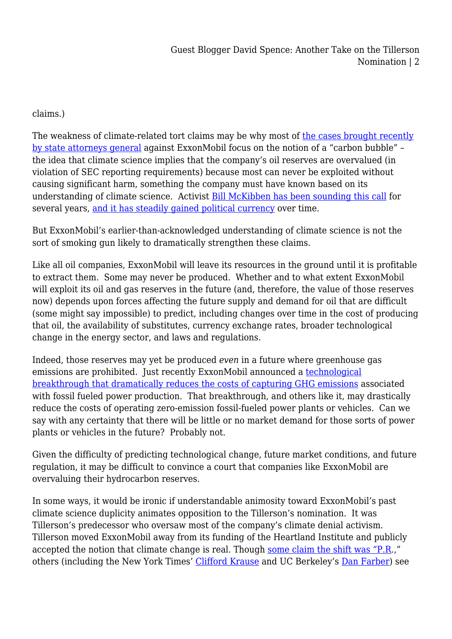Guest Blogger David Spence: Another Take on the Tillerson Nomination | 2

## claims.)

The weakness of climate-related tort claims may be why most of [the cases brought recently](http://www.nytimes.com/2016/08/20/science/exxon-mobil-fraud-inquiry-said-to-focus-more-on-future-than-past.html) [by state attorneys general](http://www.nytimes.com/2016/08/20/science/exxon-mobil-fraud-inquiry-said-to-focus-more-on-future-than-past.html) against ExxonMobil focus on the notion of a "carbon bubble" – the idea that climate science implies that the company's oil reserves are overvalued (in violation of SEC reporting requirements) because most can never be exploited without causing significant harm, something the company must have known based on its understanding of climate science. Activist [Bill McKibben has been sounding this call](http://www.rollingstone.com/politics/news/global-warmings-terrifying-new-math-20120719) for several years, [and it has steadily gained political currency](https://medium.com/@AlexSteffen/trump-putin-and-the-pipelines-to-nowhere-742d745ce8fd#.cyd3b0z2s) over time.

But ExxonMobil's earlier-than-acknowledged understanding of climate science is not the sort of smoking gun likely to dramatically strengthen these claims.

Like all oil companies, ExxonMobil will leave its resources in the ground until it is profitable to extract them. Some may never be produced. Whether and to what extent ExxonMobil will exploit its oil and gas reserves in the future (and, therefore, the value of those reserves now) depends upon forces affecting the future supply and demand for oil that are difficult (some might say impossible) to predict, including changes over time in the cost of producing that oil, the availability of substitutes, currency exchange rates, broader technological change in the energy sector, and laws and regulations.

Indeed, those reserves may yet be produced *even* in a future where greenhouse gas emissions are prohibited. Just recently ExxonMobil announced a [technological](http://www.houstonchronicle.com/business/article/Exxon-Georgia-Tech-unveil-low-carbon-technology-9171745.php) [breakthrough that dramatically reduces the costs of capturing GHG emissions](http://www.houstonchronicle.com/business/article/Exxon-Georgia-Tech-unveil-low-carbon-technology-9171745.php) associated with fossil fueled power production. That breakthrough, and others like it, may drastically reduce the costs of operating zero-emission fossil-fueled power plants or vehicles. Can we say with any certainty that there will be little or no market demand for those sorts of power plants or vehicles in the future? Probably not.

Given the difficulty of predicting technological change, future market conditions, and future regulation, it may be difficult to convince a court that companies like ExxonMobil are overvaluing their hydrocarbon reserves.

In some ways, it would be ironic if understandable animosity toward ExxonMobil's past climate science duplicity animates opposition to the Tillerson's nomination. It was Tillerson's predecessor who oversaw most of the company's climate denial activism. Tillerson moved ExxonMobil away from its funding of the Heartland Institute and publicly accepted the notion that climate change is real. Though [some claim the shift was "P.R.](http://www.nytimes.com/2016/12/28/business/energy-environment/rex-tillerson-secretary-of-state-exxon.html)," others (including the New York Times' [Clifford Krause](http://www.nytimes.com/2016/12/13/business/energy-environment/rex-tillerson-secretary-of-state-exxon-mobil.html?rref=collection%2Fbyline%2Fclifford-krauss&action=click&contentCollection=undefined®ion=stream&module=stream_unit&version=latest&contentPlacement=2&pgtype=collection) and UC Berkeley's [Dan Farber](http://legal-planet.org/2016/12/13/tillerson-and-perry-its-complicated/)) see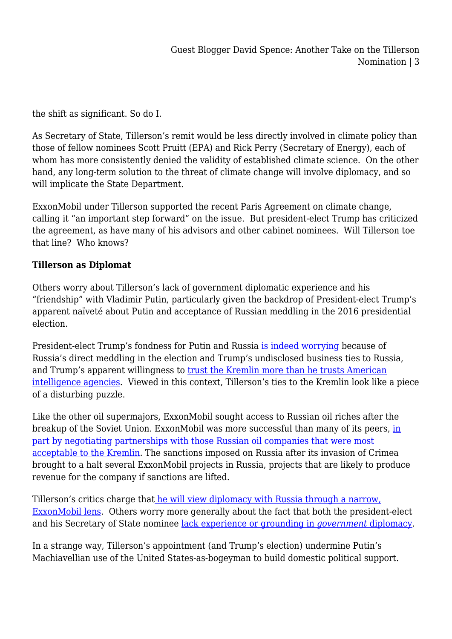the shift as significant. So do I.

As Secretary of State, Tillerson's remit would be less directly involved in climate policy than those of fellow nominees Scott Pruitt (EPA) and Rick Perry (Secretary of Energy), each of whom has more consistently denied the validity of established climate science. On the other hand, any long-term solution to the threat of climate change will involve diplomacy, and so will implicate the State Department.

ExxonMobil under Tillerson supported the recent Paris Agreement on climate change, calling it "an important step forward" on the issue. But president-elect Trump has criticized the agreement, as have many of his advisors and other cabinet nominees. Will Tillerson toe that line? Who knows?

## **Tillerson as Diplomat**

Others worry about Tillerson's lack of government diplomatic experience and his "friendship" with Vladimir Putin, particularly given the backdrop of President-elect Trump's apparent naïveté about Putin and acceptance of Russian meddling in the 2016 presidential election.

President-elect Trump's fondness for Putin and Russia [is indeed worrying](http://www.npr.org/2017/01/05/508221093/when-it-comes-to-russia-so-far-donald-trump-mostly-stands-alone) because of Russia's direct meddling in the election and Trump's undisclosed business ties to Russia, and Trump's apparent willingness to [trust the Kremlin more than he trusts American](http://www.latimes.com/opinion/editorials/la-ed-trump-intelligence-20170105-story.html) [intelligence agencies](http://www.latimes.com/opinion/editorials/la-ed-trump-intelligence-20170105-story.html). Viewed in this context, Tillerson's ties to the Kremlin look like a piece of a disturbing puzzle.

Like the other oil supermajors, ExxonMobil sought access to Russian oil riches after the breakup of the Soviet Union. ExxonMobil was more successful than many of its peers, [in](http://www.nytimes.com/2016/12/20/world/europe/russia-rex-tillerson-donald-trump-secretary-of-state.html?smid=nytcore-ipad-share&smprod=nytcore-ipad&_r=0) [part by negotiating partnerships with those Russian oil companies that were most](http://www.nytimes.com/2016/12/20/world/europe/russia-rex-tillerson-donald-trump-secretary-of-state.html?smid=nytcore-ipad-share&smprod=nytcore-ipad&_r=0) [acceptable to the Kremlin](http://www.nytimes.com/2016/12/20/world/europe/russia-rex-tillerson-donald-trump-secretary-of-state.html?smid=nytcore-ipad-share&smprod=nytcore-ipad&_r=0). The sanctions imposed on Russia after its invasion of Crimea brought to a halt several ExxonMobil projects in Russia, projects that are likely to produce revenue for the company if sanctions are lifted.

Tillerson's critics charge that [he will view diplomacy with Russia through a narrow,](http://www.newyorker.com/news/news-desk/rex-tillerson-from-a-corporate-oil-sovereign-to-the-state-department) [ExxonMobil lens](http://www.newyorker.com/news/news-desk/rex-tillerson-from-a-corporate-oil-sovereign-to-the-state-department). Others worry more generally about the fact that both the president-elect and his Secretary of State nominee [lack experience or grounding in](http://www.newyorker.com/news/news-desk/rex-tillerson-from-a-corporate-oil-sovereign-to-the-state-department) *[government](http://www.newyorker.com/news/news-desk/rex-tillerson-from-a-corporate-oil-sovereign-to-the-state-department)* [diplomacy](http://www.newyorker.com/news/news-desk/rex-tillerson-from-a-corporate-oil-sovereign-to-the-state-department).

In a strange way, Tillerson's appointment (and Trump's election) undermine Putin's Machiavellian use of the United States-as-bogeyman to build domestic political support.